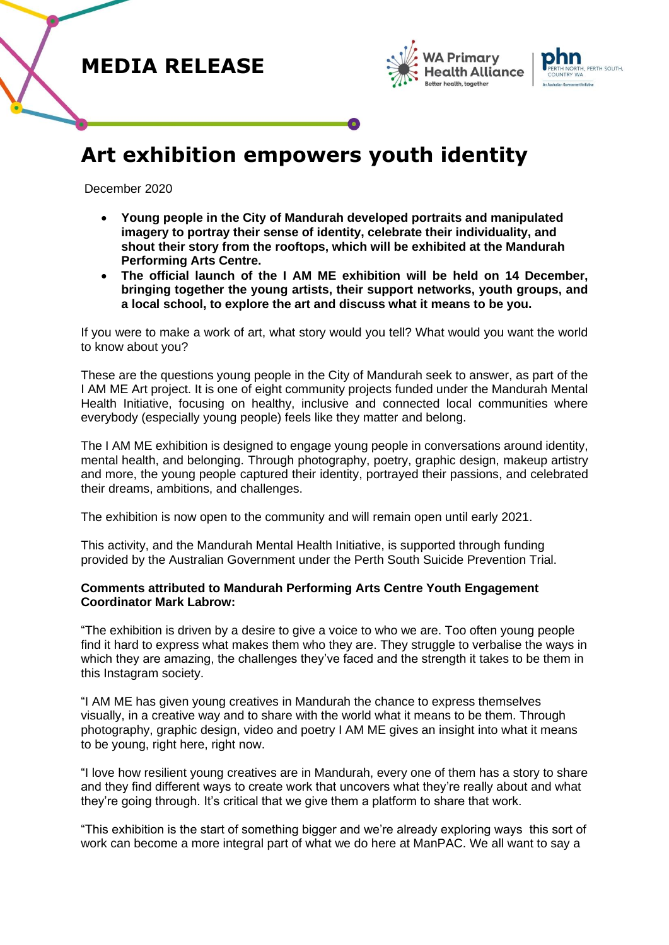





# **Art exhibition empowers youth identity**

December 2020

- **Young people in the City of Mandurah developed portraits and manipulated imagery to portray their sense of identity, celebrate their individuality, and shout their story from the rooftops, which will be exhibited at the Mandurah Performing Arts Centre.**
- **The official launch of the I AM ME exhibition will be held on 14 December, bringing together the young artists, their support networks, youth groups, and a local school, to explore the art and discuss what it means to be you.**

If you were to make a work of art, what story would you tell? What would you want the world to know about you?

These are the questions young people in the City of Mandurah seek to answer, as part of the I AM ME Art project. It is one of eight community projects funded under the Mandurah Mental Health Initiative, focusing on healthy, inclusive and connected local communities where everybody (especially young people) feels like they matter and belong.

The I AM ME exhibition is designed to engage young people in conversations around identity, mental health, and belonging. Through photography, poetry, graphic design, makeup artistry and more, the young people captured their identity, portrayed their passions, and celebrated their dreams, ambitions, and challenges.

The exhibition is now open to the community and will remain open until early 2021.

This activity, and the Mandurah Mental Health Initiative, is supported through funding provided by the Australian Government under the Perth South Suicide Prevention Trial.

#### **Comments attributed to Mandurah Performing Arts Centre Youth Engagement Coordinator Mark Labrow:**

"The exhibition is driven by a desire to give a voice to who we are. Too often young people find it hard to express what makes them who they are. They struggle to verbalise the ways in which they are amazing, the challenges they've faced and the strength it takes to be them in this Instagram society.

"I AM ME has given young creatives in Mandurah the chance to express themselves visually, in a creative way and to share with the world what it means to be them. Through photography, graphic design, video and poetry I AM ME gives an insight into what it means to be young, right here, right now.

"I love how resilient young creatives are in Mandurah, every one of them has a story to share and they find different ways to create work that uncovers what they're really about and what they're going through. It's critical that we give them a platform to share that work.

"This exhibition is the start of something bigger and we're already exploring ways this sort of work can become a more integral part of what we do here at ManPAC. We all want to say a